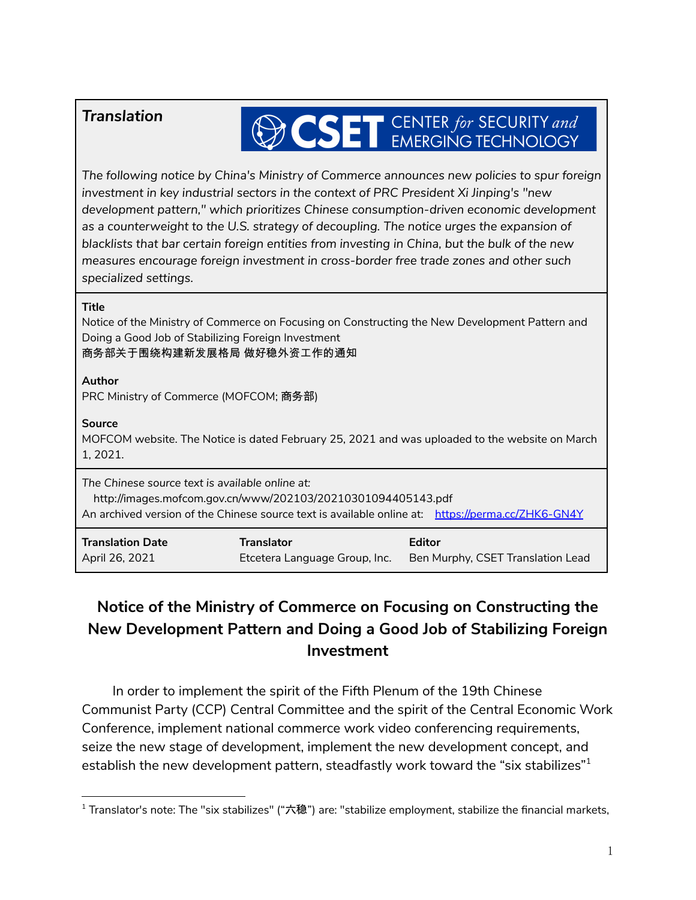# *Translation*

# **OCSET** CENTER for SECURITY and

*The following notice by China's Ministry of Commerce announces new policies to spur foreign investment in key industrial sectors in the context of PRC President Xi Jinping's "new development pattern," which prioritizes Chinese consumption-driven economic development as a counterweight to the U.S. strategy of decoupling. The notice urges the expansion of blacklists that bar certain foreign entities from investing in China, but the bulk of the new measures encourage foreign investment in cross-border free trade zones and other such specialized settings.*

#### **Title**

Notice of the Ministry of Commerce on Focusing on Constructing the New Development Pattern and Doing a Good Job of Stabilizing Foreign Investment 商务部关于围绕构建新发展格局 做好稳外资工作的通知

## **Author**

PRC Ministry of Commerce (MOFCOM; 商务部)

## **Source**

MOFCOM website. The Notice is dated February 25, 2021 and was uploaded to the website on March 1, 2021.

*The Chinese source text is available online at:*

http://images.mofcom.gov.cn/www/202103/20210301094405143.pdf An archived version of the Chinese source text is available online at: <https://perma.cc/ZHK6-GN4Y>

| <b>Translation Date</b> | <b>Translator</b>             | Editor                            |
|-------------------------|-------------------------------|-----------------------------------|
| April 26, 2021          | Etcetera Language Group, Inc. | Ben Murphy, CSET Translation Lead |

# **Notice of the Ministry of Commerce on Focusing on Constructing the New Development Pattern and Doing a Good Job of Stabilizing Foreign Investment**

In order to implement the spirit of the Fifth Plenum of the 19th Chinese Communist Party (CCP) Central Committee and the spirit of the Central Economic Work Conference, implement national commerce work video conferencing requirements, seize the new stage of development, implement the new development concept, and establish the new development pattern, steadfastly work toward the "six stabilizes" $^{\rm 1}$ 

 $1$  Translator's note: The "six stabilizes" ("六稳") are: "stabilize employment, stabilize the financial markets,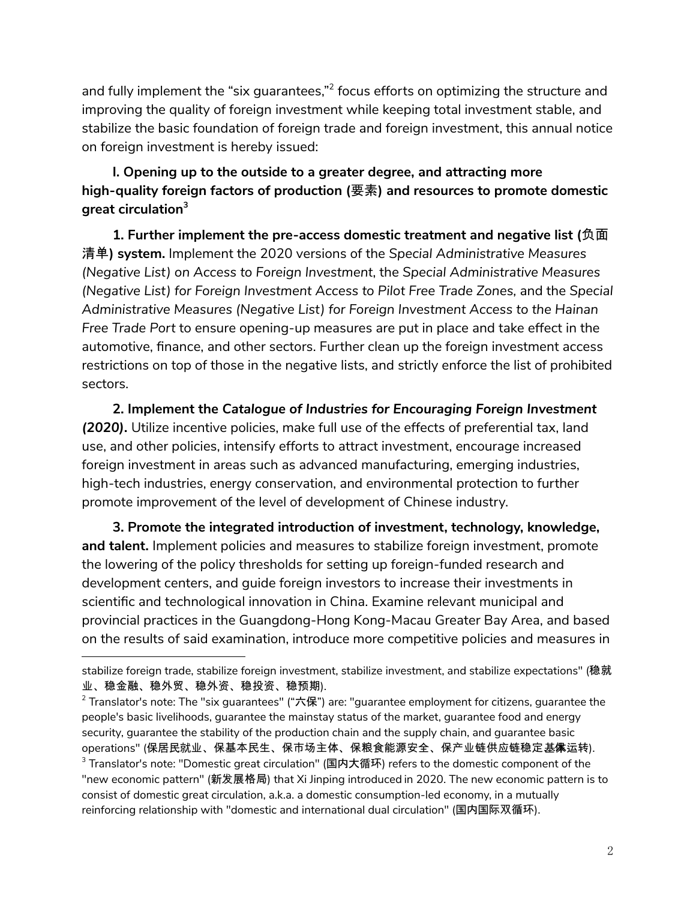and fully implement the "six guarantees,"<sup>2</sup> focus efforts on optimizing the structure and improving the quality of foreign investment while keeping total investment stable, and stabilize the basic foundation of foreign trade and foreign investment, this annual notice on foreign investment is hereby issued:

# **I. Opening up to the outside to a greater degree, and attracting more high-quality foreign factors of production (**要素**) and resources to promote domestic great circulation 3**

**1. Further implement the pre-access domestic treatment and negative list (**负面 清单**) system.** Implement the 2020 versions of the *Special Administrative Measures (Negative List) on Access to Foreign Investment*, the *Special Administrative Measures (Negative List) for Foreign Investment Access to Pilot Free Trade Zones,* and the *Special Administrative Measures (Negative List) for Foreign Investment Access to the Hainan Free Trade Port* to ensure opening-up measures are put in place and take effect in the automotive, finance, and other sectors. Further clean up the foreign investment access restrictions on top of those in the negative lists, and strictly enforce the list of prohibited sectors.

**2. Implement the** *Catalogue of Industries for Encouraging Foreign Investment (2020)***.** Utilize incentive policies, make full use of the effects of preferential tax, land use, and other policies, intensify efforts to attract investment, encourage increased foreign investment in areas such as advanced manufacturing, emerging industries, high-tech industries, energy conservation, and environmental protection to further promote improvement of the level of development of Chinese industry.

**3. Promote the integrated introduction of investment, technology, knowledge, and talent.** Implement policies and measures to stabilize foreign investment, promote the lowering of the policy thresholds for setting up foreign-funded research and development centers, and guide foreign investors to increase their investments in scientific and technological innovation in China. Examine relevant municipal and provincial practices in the Guangdong-Hong Kong-Macau Greater Bay Area, and based on the results of said examination, introduce more competitive policies and measures in

stabilize foreign trade, stabilize foreign investment, stabilize investment, and stabilize expectations" (稳就 业、稳金融、稳外贸、稳外资、稳投资、稳预期).

 $3$  Translator's note: "Domestic great circulation" (国内大循环) refers to the domestic component of the "new economic pattern" (新发展格局) that Xi Jinping introduced in 2020. The new economic pattern is to consist of domestic great circulation, a.k.a. a domestic consumption-led economy, in a mutually reinforcing relationship with "domestic and international dual circulation" (国内国际双循环).  $2$  Translator's note: The "six guarantees" ("六保") are: "guarantee employment for citizens, guarantee the people's basic livelihoods, guarantee the mainstay status of the market, guarantee food and energy security, guarantee the stability of the production chain and the supply chain, and guarantee basic operations" (保居民就业、保基本民生、保市场主体、保粮食能源安全、保产业链供应链稳定基**保**运转).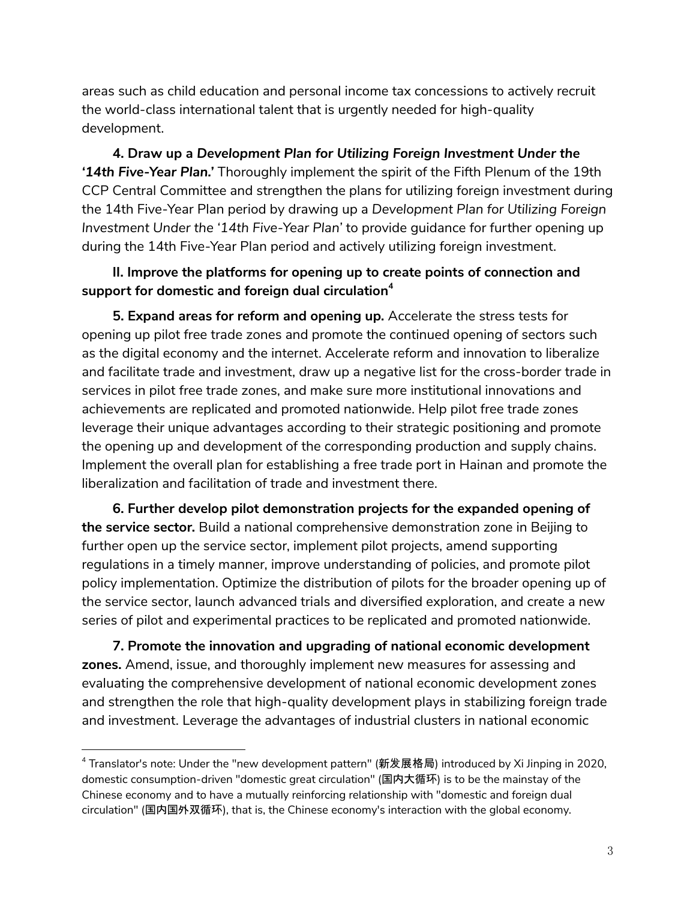areas such as child education and personal income tax concessions to actively recruit the world-class international talent that is urgently needed for high-quality development.

**4. Draw up a** *Development Plan for Utilizing Foreign Investment Under the '14th Five-Year Plan.'* Thoroughly implement the spirit of the Fifth Plenum of the 19th CCP Central Committee and strengthen the plans for utilizing foreign investment during the 14th Five-Year Plan period by drawing up a *Development Plan for Utilizing Foreign Investment Under the '14th Five-Year Plan'* to provide guidance for further opening up during the 14th Five-Year Plan period and actively utilizing foreign investment.

# **II. Improve the platforms for opening up to create points of connection and support for domestic and foreign dual circulation 4**

**5. Expand areas for reform and opening up.** Accelerate the stress tests for opening up pilot free trade zones and promote the continued opening of sectors such as the digital economy and the internet. Accelerate reform and innovation to liberalize and facilitate trade and investment, draw up a negative list for the cross-border trade in services in pilot free trade zones, and make sure more institutional innovations and achievements are replicated and promoted nationwide. Help pilot free trade zones leverage their unique advantages according to their strategic positioning and promote the opening up and development of the corresponding production and supply chains. Implement the overall plan for establishing a free trade port in Hainan and promote the liberalization and facilitation of trade and investment there.

**6. Further develop pilot demonstration projects for the expanded opening of the service sector.** Build a national comprehensive demonstration zone in Beijing to further open up the service sector, implement pilot projects, amend supporting regulations in a timely manner, improve understanding of policies, and promote pilot policy implementation. Optimize the distribution of pilots for the broader opening up of the service sector, launch advanced trials and diversified exploration, and create a new series of pilot and experimental practices to be replicated and promoted nationwide.

**7. Promote the innovation and upgrading of national economic development zones.** Amend, issue, and thoroughly implement new measures for assessing and evaluating the comprehensive development of national economic development zones and strengthen the role that high-quality development plays in stabilizing foreign trade and investment. Leverage the advantages of industrial clusters in national economic

<sup>4</sup> Translator's note: Under the "new development pattern" (新发展格局) introduced by Xi Jinping in 2020, domestic consumption-driven "domestic great circulation" (国内大循环) is to be the mainstay of the Chinese economy and to have a mutually reinforcing relationship with "domestic and foreign dual circulation" (国内国外双循环), that is, the Chinese economy's interaction with the global economy.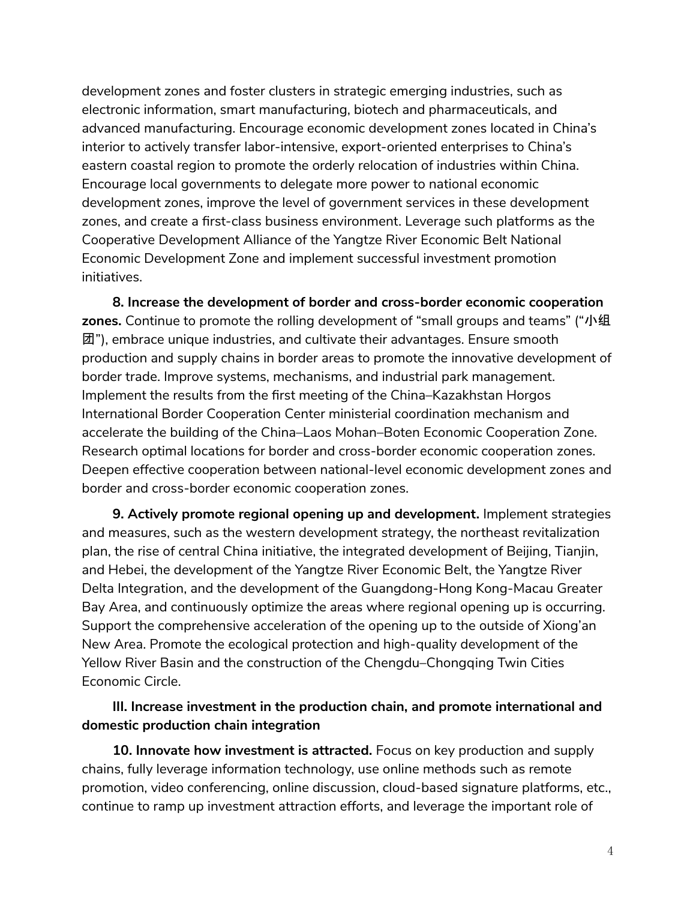development zones and foster clusters in strategic emerging industries, such as electronic information, smart manufacturing, biotech and pharmaceuticals, and advanced manufacturing. Encourage economic development zones located in China's interior to actively transfer labor-intensive, export-oriented enterprises to China's eastern coastal region to promote the orderly relocation of industries within China. Encourage local governments to delegate more power to national economic development zones, improve the level of government services in these development zones, and create a first-class business environment. Leverage such platforms as the Cooperative Development Alliance of the Yangtze River Economic Belt National Economic Development Zone and implement successful investment promotion initiatives.

**8. Increase the development of border and cross-border economic cooperation zones.** Continue to promote the rolling development of "small groups and teams" ("小组 团"), embrace unique industries, and cultivate their advantages. Ensure smooth production and supply chains in border areas to promote the innovative development of border trade. Improve systems, mechanisms, and industrial park management. Implement the results from the first meeting of the China–Kazakhstan Horgos International Border Cooperation Center ministerial coordination mechanism and accelerate the building of the China–Laos Mohan–Boten Economic Cooperation Zone. Research optimal locations for border and cross-border economic cooperation zones. Deepen effective cooperation between national-level economic development zones and border and cross-border economic cooperation zones.

**9. Actively promote regional opening up and development.** Implement strategies and measures, such as the western development strategy, the northeast revitalization plan, the rise of central China initiative, the integrated development of Beijing, Tianjin, and Hebei, the development of the Yangtze River Economic Belt, the Yangtze River Delta Integration, and the development of the Guangdong-Hong Kong-Macau Greater Bay Area, and continuously optimize the areas where regional opening up is occurring. Support the comprehensive acceleration of the opening up to the outside of Xiong'an New Area. Promote the ecological protection and high-quality development of the Yellow River Basin and the construction of the Chengdu–Chongqing Twin Cities Economic Circle.

## **III. Increase investment in the production chain, and promote international and domestic production chain integration**

**10. Innovate how investment is attracted.** Focus on key production and supply chains, fully leverage information technology, use online methods such as remote promotion, video conferencing, online discussion, cloud-based signature platforms, etc., continue to ramp up investment attraction efforts, and leverage the important role of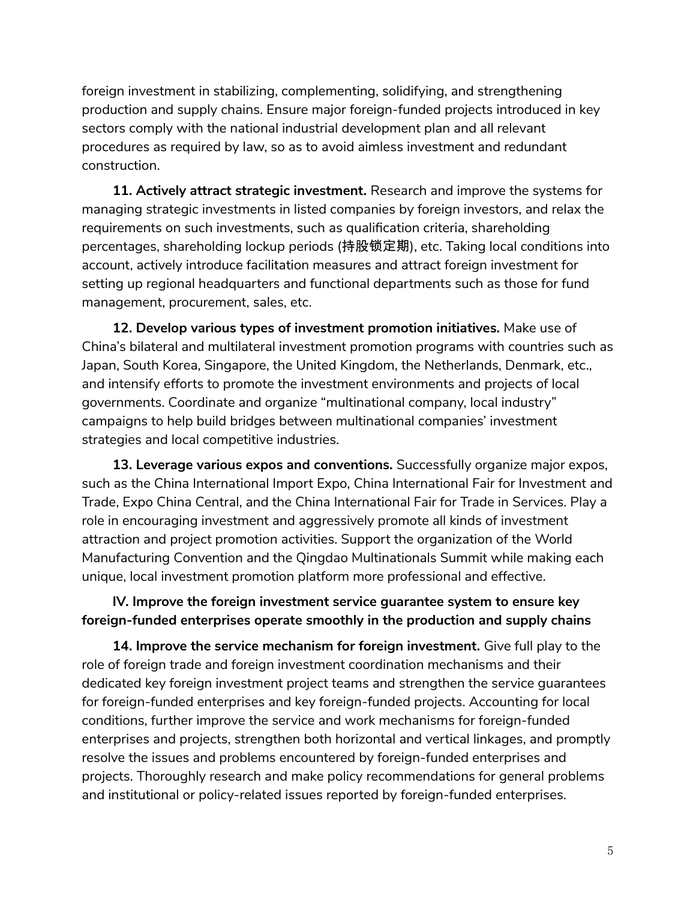foreign investment in stabilizing, complementing, solidifying, and strengthening production and supply chains. Ensure major foreign-funded projects introduced in key sectors comply with the national industrial development plan and all relevant procedures as required by law, so as to avoid aimless investment and redundant construction.

**11. Actively attract strategic investment.** Research and improve the systems for managing strategic investments in listed companies by foreign investors, and relax the requirements on such investments, such as qualification criteria, shareholding percentages, shareholding lockup periods (持股锁定期), etc. Taking local conditions into account, actively introduce facilitation measures and attract foreign investment for setting up regional headquarters and functional departments such as those for fund management, procurement, sales, etc.

**12. Develop various types of investment promotion initiatives.** Make use of China's bilateral and multilateral investment promotion programs with countries such as Japan, South Korea, Singapore, the United Kingdom, the Netherlands, Denmark, etc., and intensify efforts to promote the investment environments and projects of local governments. Coordinate and organize "multinational company, local industry" campaigns to help build bridges between multinational companies' investment strategies and local competitive industries.

**13. Leverage various expos and conventions.** Successfully organize major expos, such as the China International Import Expo, China International Fair for Investment and Trade, Expo China Central, and the China International Fair for Trade in Services. Play a role in encouraging investment and aggressively promote all kinds of investment attraction and project promotion activities. Support the organization of the World Manufacturing Convention and the Qingdao Multinationals Summit while making each unique, local investment promotion platform more professional and effective.

## **IV. Improve the foreign investment service guarantee system to ensure key foreign-funded enterprises operate smoothly in the production and supply chains**

**14. Improve the service mechanism for foreign investment.** Give full play to the role of foreign trade and foreign investment coordination mechanisms and their dedicated key foreign investment project teams and strengthen the service guarantees for foreign-funded enterprises and key foreign-funded projects. Accounting for local conditions, further improve the service and work mechanisms for foreign-funded enterprises and projects, strengthen both horizontal and vertical linkages, and promptly resolve the issues and problems encountered by foreign-funded enterprises and projects. Thoroughly research and make policy recommendations for general problems and institutional or policy-related issues reported by foreign-funded enterprises.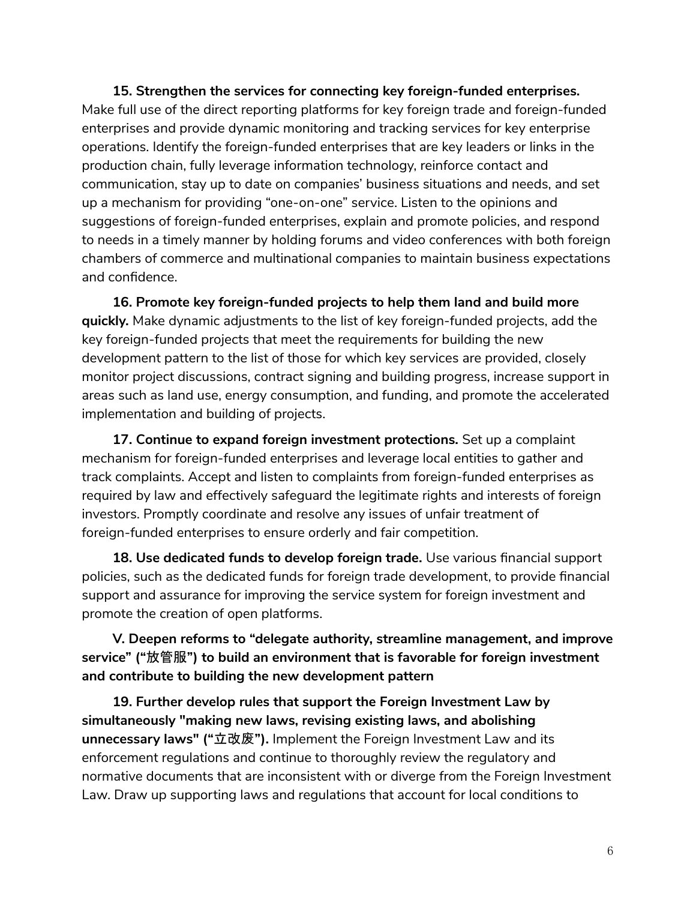**15. Strengthen the services for connecting key foreign-funded enterprises.** Make full use of the direct reporting platforms for key foreign trade and foreign-funded enterprises and provide dynamic monitoring and tracking services for key enterprise operations. Identify the foreign-funded enterprises that are key leaders or links in the production chain, fully leverage information technology, reinforce contact and communication, stay up to date on companies' business situations and needs, and set up a mechanism for providing "one-on-one" service. Listen to the opinions and suggestions of foreign-funded enterprises, explain and promote policies, and respond to needs in a timely manner by holding forums and video conferences with both foreign chambers of commerce and multinational companies to maintain business expectations and confidence.

**16. Promote key foreign-funded projects to help them land and build more quickly.** Make dynamic adjustments to the list of key foreign-funded projects, add the key foreign-funded projects that meet the requirements for building the new development pattern to the list of those for which key services are provided, closely monitor project discussions, contract signing and building progress, increase support in areas such as land use, energy consumption, and funding, and promote the accelerated implementation and building of projects.

**17. Continue to expand foreign investment protections.** Set up a complaint mechanism for foreign-funded enterprises and leverage local entities to gather and track complaints. Accept and listen to complaints from foreign-funded enterprises as required by law and effectively safeguard the legitimate rights and interests of foreign investors. Promptly coordinate and resolve any issues of unfair treatment of foreign-funded enterprises to ensure orderly and fair competition.

**18. Use dedicated funds to develop foreign trade.** Use various financial support policies, such as the dedicated funds for foreign trade development, to provide financial support and assurance for improving the service system for foreign investment and promote the creation of open platforms.

**V. Deepen reforms to "delegate authority, streamline management, and improve service" ("**放管服**") to build an environment that is favorable for foreign investment and contribute to building the new development pattern**

**19. Further develop rules that support the Foreign Investment Law by simultaneously "making new laws, revising existing laws, and abolishing unnecessary laws" ("**立改废**").** Implement the Foreign Investment Law and its enforcement regulations and continue to thoroughly review the regulatory and normative documents that are inconsistent with or diverge from the Foreign Investment Law. Draw up supporting laws and regulations that account for local conditions to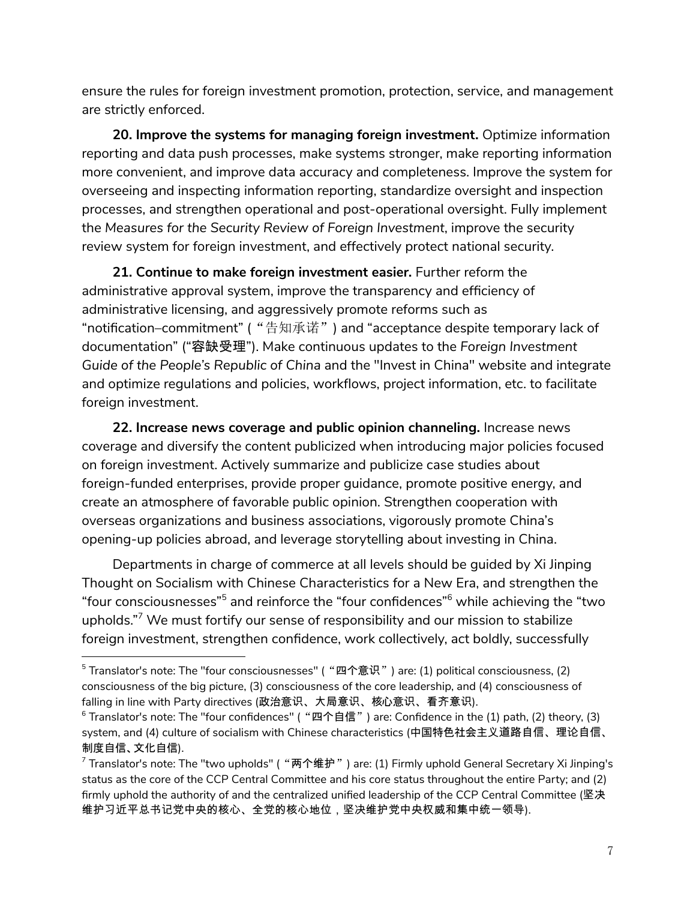ensure the rules for foreign investment promotion, protection, service, and management are strictly enforced.

**20. Improve the systems for managing foreign investment.** Optimize information reporting and data push processes, make systems stronger, make reporting information more convenient, and improve data accuracy and completeness. Improve the system for overseeing and inspecting information reporting, standardize oversight and inspection processes, and strengthen operational and post-operational oversight. Fully implement the *Measures for the Security Review of Foreign Investment*, improve the security review system for foreign investment, and effectively protect national security.

**21. Continue to make foreign investment easier.** Further reform the administrative approval system, improve the transparency and efficiency of administrative licensing, and aggressively promote reforms such as "notification–commitment" ("告知承诺") and "acceptance despite temporary lack of documentation" ("容缺受理"). Make continuous updates to the *Foreign Investment Guide of the People's Republic of China* and the "Invest in China" website and integrate and optimize regulations and policies, workflows, project information, etc. to facilitate foreign investment.

**22. Increase news coverage and public opinion channeling.** Increase news coverage and diversify the content publicized when introducing major policies focused on foreign investment. Actively summarize and publicize case studies about foreign-funded enterprises, provide proper guidance, promote positive energy, and create an atmosphere of favorable public opinion. Strengthen cooperation with overseas organizations and business associations, vigorously promote China's opening-up policies abroad, and leverage storytelling about investing in China.

Departments in charge of commerce at all levels should be guided by Xi Jinping Thought on Socialism with Chinese Characteristics for a New Era, and strengthen the "four consciousnesses"<sup>5</sup> and reinforce the "four confidences"<sup>6</sup> while achieving the "two upholds." <sup>7</sup> We must fortify our sense of responsibility and our mission to stabilize foreign investment, strengthen confidence, work collectively, act boldly, successfully

 $5$  Translator's note: The "four consciousnesses" ( "四个意识") are: (1) political consciousness, (2) consciousness of the big picture, (3) consciousness of the core leadership, and (4) consciousness of falling in line with Party directives (政治意识、大局意识、核心意识、看齐意识).

 $6$  Translator's note: The "four confidences" ( "四个自信") are: Confidence in the (1) path, (2) theory, (3) system, and (4) culture of socialism with Chinese characteristics (中国特色社会主义道路自信、理论自信、 制度自信、文化自信).

 $^7$  Translator's note: The "two upholds" ( "两个维护") are: (1) Firmly uphold General Secretary Xi Jinping's status as the core of the CCP Central Committee and his core status throughout the entire Party; and (2) firmly uphold the authority of and the centralized unified leadership of the CCP Central Committee (坚决 维护习近平总书记党中央的核心、全党的核心地位,坚决维护党中央权威和集中统一领导).